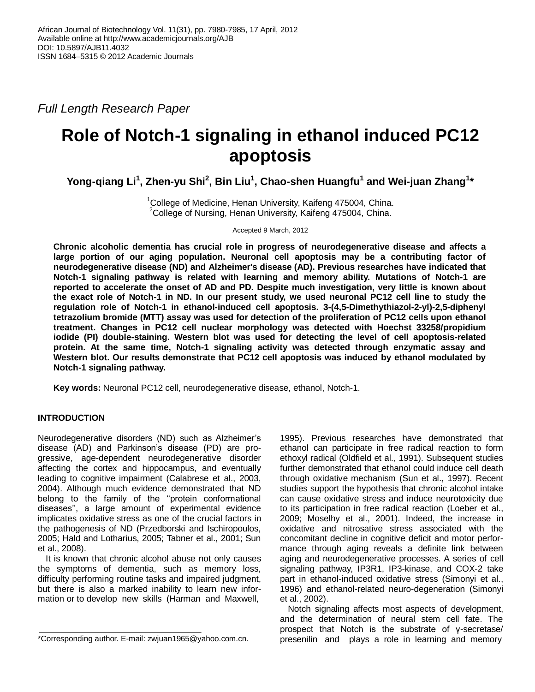*Full Length Research Paper*

# **Role of Notch-1 signaling in ethanol induced PC12 apoptosis**

**Yong-qiang Li<sup>1</sup> , Zhen-yu Shi<sup>2</sup> , Bin Liu<sup>1</sup> , Chao-shen Huangfu<sup>1</sup> and Wei-juan Zhang<sup>1</sup> \***

 $1$ College of Medicine, Henan University, Kaifeng 475004, China.  $2$ College of Nursing, Henan University, Kaifeng 475004, China.

Accepted 9 March, 2012

**Chronic alcoholic dementia has crucial role in progress of neurodegenerative disease and affects a large portion of our aging population. Neuronal cell apoptosis may be a contributing factor of neurodegenerative disease (ND) and Alzheimer's disease (AD). Previous researches have indicated that Notch-1 signaling pathway is related with learning and memory ability. Mutations of Notch-1 are reported to accelerate the onset of AD and PD. Despite much investigation, very little is known about the exact role of Notch-1 in ND. In our present study, we used neuronal PC12 cell line to study the regulation role of Notch-1 in ethanol-induced cell apoptosis. 3-(4,5-Dimethythiazol-2-yl)-2,5-diphenyl tetrazolium bromide (MTT) assay was used for detection of the proliferation of PC12 cells upon ethanol treatment. Changes in PC12 cell nuclear morphology was detected with Hoechst 33258/propidium iodide (PI) double-staining. Western blot was used for detecting the level of cell apoptosis-related protein. At the same time, Notch-1 signaling activity was detected through enzymatic assay and Western blot. Our results demonstrate that PC12 cell apoptosis was induced by ethanol modulated by Notch-1 signaling pathway.**

**Key words:** Neuronal PC12 cell, neurodegenerative disease, ethanol, Notch-1.

# **INTRODUCTION**

Neurodegenerative disorders (ND) such as Alzheimer's disease (AD) and Parkinson's disease (PD) are progressive, age-dependent neurodegenerative disorder affecting the cortex and hippocampus, and eventually leading to cognitive impairment (Calabrese et al., 2003, 2004). Although much evidence demonstrated that ND belong to the family of the ''protein conformational diseases'', a large amount of experimental evidence implicates oxidative stress as one of the crucial factors in the pathogenesis of ND (Przedborski and Ischiropoulos, 2005; Hald and Lotharius, 2005; Tabner et al., 2001; Sun et al., 2008).

It is known that chronic alcohol abuse not only causes the symptoms of dementia, such as memory loss, difficulty performing routine tasks and impaired judgment, but there is also a marked inability to learn new information or to develop new skills (Harman and Maxwell,

1995). Previous researches have demonstrated that ethanol can participate in free radical reaction to form ethoxyl radical (Oldfield et al., 1991). Subsequent studies further demonstrated that ethanol could induce cell death through oxidative mechanism (Sun et al., 1997). Recent studies support the hypothesis that chronic alcohol intake can cause oxidative stress and induce neurotoxicity due to its participation in free radical reaction (Loeber et al., 2009; Moselhy et al., 2001). Indeed, the increase in oxidative and nitrosative stress associated with the concomitant decline in cognitive deficit and motor performance through aging reveals a definite link between aging and neurodegenerative processes. A series of cell signaling pathway, IP3R1, IP3-kinase, and COX-2 take part in ethanol-induced oxidative stress (Simonyi et al., 1996) and ethanol-related neuro-degeneration (Simonyi et al., 2002).

Notch signaling affects most aspects of development, and the determination of neural stem cell fate. The prospect that Notch is the substrate of γ-secretase/ presenilin and plays a role in learning and memory

<sup>\*</sup>Corresponding author. E-mail: zwjuan1965@yahoo.com.cn.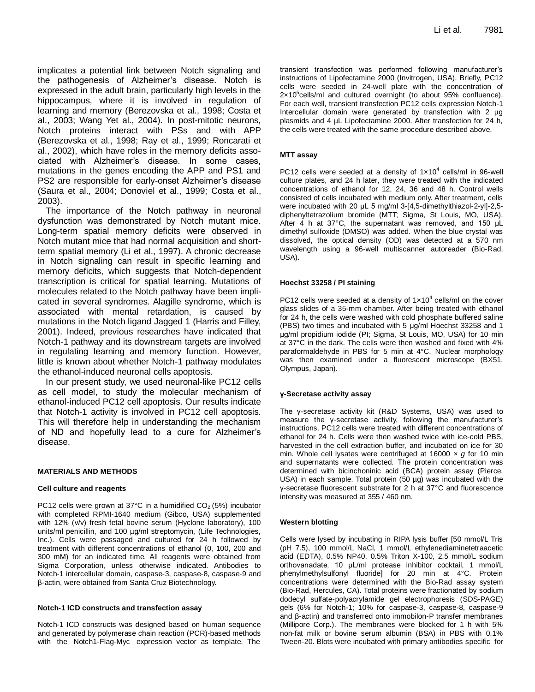implicates a potential link between Notch signaling and the pathogenesis of Alzheimer's disease. Notch is expressed in the adult brain, particularly high levels in the hippocampus, where it is involved in regulation of learning and memory (Berezovska et al., 1998; Costa et al., 2003; Wang Yet al., 2004). In post-mitotic neurons, Notch proteins interact with PSs and with APP (Berezovska et al., 1998; Ray et al., 1999; Roncarati et al., 2002), which have roles in the memory deficits associated with Alzheimer's disease. In some cases, mutations in the genes encoding the APP and PS1 and PS2 are responsible for early-onset Alzheimer's disease (Saura et al., 2004; Donoviel et al., 1999; Costa et al., 2003).

The importance of the Notch pathway in neuronal dysfunction was demonstrated by Notch mutant mice. Long-term spatial memory deficits were observed in Notch mutant mice that had normal acquisition and shortterm spatial memory (Li et al., 1997). A chronic decrease in Notch signaling can result in specific learning and memory deficits, which suggests that Notch-dependent transcription is critical for spatial learning. Mutations of molecules related to the Notch pathway have been implicated in several syndromes. Alagille syndrome, which is associated with mental retardation, is caused by mutations in the Notch ligand Jagged 1 (Harris and Filley, 2001). Indeed, previous researches have indicated that Notch-1 pathway and its downstream targets are involved in regulating learning and memory function. However, little is known about whether Notch-1 pathway modulates the ethanol-induced neuronal cells apoptosis.

In our present study, we used neuronal-like PC12 cells as cell model, to study the molecular mechanism of ethanol-induced PC12 cell apoptosis. Our results indicate that Notch-1 activity is involved in PC12 cell apoptosis. This will therefore help in understanding the mechanism of ND and hopefully lead to a cure for Alzheimer's disease.

## **MATERIALS AND METHODS**

#### **Cell culture and reagents**

PC12 cells were grown at 37°C in a humidified  $CO<sub>2</sub>$  (5%) incubator with completed RPMI-1640 medium (Gibco, USA) supplemented with 12% (v/v) fresh fetal bovine serum (Hyclone laboratory), 100 units/ml penicillin, and 100 µg/ml streptomycin, (Life Technologies, Inc.). Cells were passaged and cultured for 24 h followed by treatment with different concentrations of ethanol (0, 100, 200 and 300 mM) for an indicated time. All reagents were obtained from Sigma Corporation, unless otherwise indicated. Antibodies to Notch-1 intercellular domain, caspase-3, caspase-8, caspase-9 and β-actin, were obtained from Santa Cruz Biotechnology.

#### **Notch-1 ICD constructs and transfection assay**

Notch-1 ICD constructs was designed based on human sequence and generated by polymerase chain reaction (PCR)-based methods with the Notch1-Flag-Myc expression vector as template. The transient transfection was performed following manufacturer's instructions of Lipofectamine 2000 (Invitrogen, USA). Briefly, PC12 cells were seeded in 24-well plate with the concentration of  $2 \times 10^5$ cells/ml and cultured overnight (to about 95% confluence). For each well, transient transfection PC12 cells expression Notch-1 Intercellular domain were generated by transfection with 2 µg plasmids and 4 µL Lipofectamine 2000. After transfection for 24 h, the cells were treated with the same procedure described above.

#### **MTT assay**

PC12 cells were seeded at a density of  $1 \times 10^4$  cells/ml in 96-well culture plates, and 24 h later, they were treated with the indicated concentrations of ethanol for 12, 24, 36 and 48 h. Control wells consisted of cells incubated with medium only. After treatment, cells were incubated with 20 μL 5 mg/ml 3-[4,5-dimethylthiazol-2-yl]-2,5 diphenyltetrazolium bromide (MTT; Sigma, St Louis, MO, USA). After 4 h at 37°C, the supernatant was removed, and 150 μL dimethyl sulfoxide (DMSO) was added. When the blue crystal was dissolved, the optical density (OD) was detected at a 570 nm wavelength using a 96-well multiscanner autoreader (Bio-Rad, USA).

#### **Hoechst 33258 / PI staining**

PC12 cells were seeded at a density of  $1 \times 10^4$  cells/ml on the cover glass slides of a 35-mm chamber. After being treated with ethanol for 24 h, the cells were washed with cold phosphate buffered saline (PBS) two times and incubated with 5 μg/ml Hoechst 33258 and 1 μg/ml propidium iodide (PI; Sigma, St Louis, MO, USA) for 10 min at 37°C in the dark. The cells were then washed and fixed with 4% paraformaldehyde in PBS for 5 min at 4°C. Nuclear morphology was then examined under a fluorescent microscope (BX51, Olympus, Japan).

## **γ-Secretase activity assay**

The γ-secretase activity kit (R&D Systems, USA) was used to measure the γ-secretase activity, following the manufacturer's instructions. PC12 cells were treated with different concentrations of ethanol for 24 h. Cells were then washed twice with ice-cold PBS, harvested in the cell extraction buffer, and incubated on ice for 30 min. Whole cell lysates were centrifuged at 16000 × *g* for 10 min and supernatants were collected. The protein concentration was determined with bicinchoninic acid (BCA) protein assay (Pierce, USA) in each sample. Total protein (50 µg) was incubated with the γ-secretase fluorescent substrate for 2 h at 37°C and fluorescence intensity was measured at 355 / 460 nm.

#### **Western blotting**

Cells were lysed by incubating in RIPA lysis buffer [50 mmol/L Tris (pH 7.5), 100 mmol/L NaCl, 1 mmol/L ethylenediaminetetraacetic acid (EDTA), 0.5% NP40, 0.5% Triton X-100, 2.5 mmol/L sodium orthovanadate, 10 μL/ml protease inhibitor cocktail, 1 mmol/L phenylmethylsulfonyl fluoride] for 20 min at 4°C. Protein concentrations were determined with the Bio-Rad assay system (Bio-Rad, Hercules, CA). Total proteins were fractionated by sodium dodecyl sulfate-polyacrylamide gel electrophoresis (SDS-PAGE) gels (6% for Notch-1; 10% for caspase-3, caspase-8, caspase-9 and β-actin) and transferred onto immobilon-P transfer membranes (Millipore Corp.). The membranes were blocked for 1 h with 5% non-fat milk or bovine serum albumin (BSA) in PBS with 0.1% Tween-20. Blots were incubated with primary antibodies specific for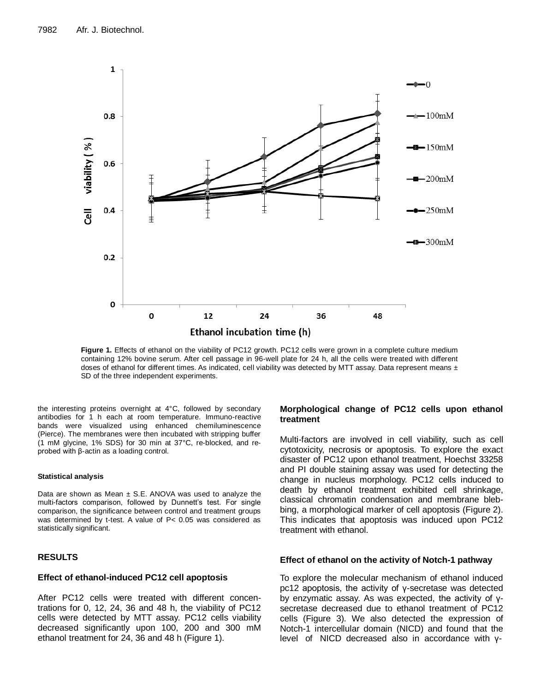

Figure 1. Effects of ethanol on the viability of PC12 growth. PC12 cells were grown in a complete culture medium containing 12% bovine serum. After cell passage in 96-well plate for 24 h, all the cells were treated with different doses of ethanol for different times. As indicated, cell viability was detected by MTT assay. Data represent means  $\pm$ SD of the three independent experiments.

the interesting proteins overnight at 4°C, followed by secondary antibodies for 1 h each at room temperature. Immuno-reactive bands were visualized using enhanced chemiluminescence (Pierce). The membranes were then incubated with stripping buffer (1 mM glycine, 1% SDS) for 30 min at 37°C, re-blocked, and reprobed with β-actin as a loading control.

#### **Statistical analysis**

Data are shown as Mean  $\pm$  S.E. ANOVA was used to analyze the multi-factors comparison, followed by Dunnett's test. For single comparison, the significance between control and treatment groups was determined by t-test. A value of P< 0.05 was considered as statistically significant.

# **RESULTS**

## **Effect of ethanol-induced PC12 cell apoptosis**

After PC12 cells were treated with different concentrations for 0, 12, 24, 36 and 48 h, the viability of PC12 cells were detected by MTT assay. PC12 cells viability decreased significantly upon 100, 200 and 300 mM ethanol treatment for 24, 36 and 48 h (Figure 1).

## **Morphological change of PC12 cells upon ethanol treatment**

Multi-factors are involved in cell viability, such as cell cytotoxicity, necrosis or apoptosis. To explore the exact disaster of PC12 upon ethanol treatment, Hoechst 33258 and PI double staining assay was used for detecting the change in nucleus morphology. PC12 cells induced to death by ethanol treatment exhibited cell shrinkage, classical chromatin condensation and membrane blebbing, a morphological marker of cell apoptosis (Figure 2). This indicates that apoptosis was induced upon PC12 treatment with ethanol.

## **Effect of ethanol on the activity of Notch-1 pathway**

To explore the molecular mechanism of ethanol induced pc12 apoptosis, the activity of γ-secretase was detected by enzymatic assay. As was expected, the activity of γsecretase decreased due to ethanol treatment of PC12 cells (Figure 3). We also detected the expression of Notch-1 intercellular domain (NICD) and found that the level of NICD decreased also in accordance with γ-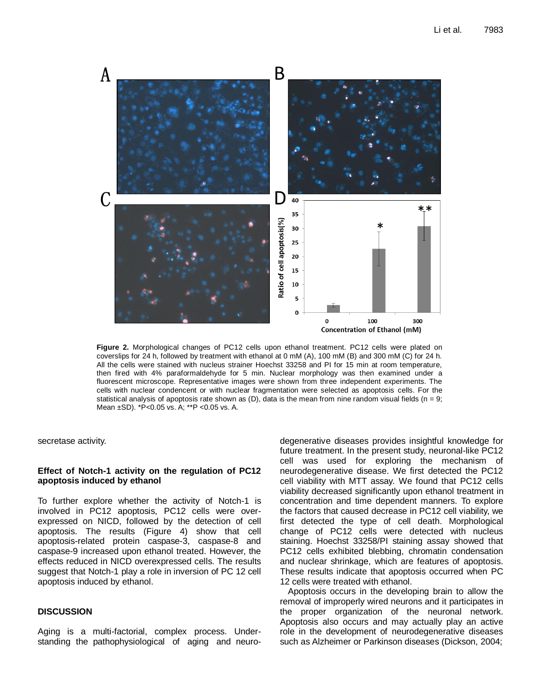

**Figure 2.** Morphological changes of PC12 cells upon ethanol treatment. PC12 cells were plated on coverslips for 24 h, followed by treatment with ethanol at 0 mM (A), 100 mM (B) and 300 mM (C) for 24 h. All the cells were stained with nucleus strainer Hoechst 33258 and PI for 15 min at room temperature, then fired with 4% paraformaldehyde for 5 min. Nuclear morphology was then examined under a fluorescent microscope. Representative images were shown from three independent experiments. The cells with nuclear condencent or with nuclear fragmentation were selected as apoptosis cells. For the statistical analysis of apoptosis rate shown as (D), data is the mean from nine random visual fields ( $n = 9$ ; Mean ±SD). \*P<0.05 vs. A; \*\*P <0.05 vs. A.

secretase activity.

## **Effect of Notch-1 activity on the regulation of PC12 apoptosis induced by ethanol**

To further explore whether the activity of Notch-1 is involved in PC12 apoptosis, PC12 cells were overexpressed on NICD, followed by the detection of cell apoptosis. The results (Figure 4) show that cell apoptosis-related protein caspase-3, caspase-8 and caspase-9 increased upon ethanol treated. However, the effects reduced in NICD overexpressed cells. The results suggest that Notch-1 play a role in inversion of PC 12 cell apoptosis induced by ethanol.

## **DISCUSSION**

Aging is a multi-factorial, complex process. Understanding the pathophysiological of aging and neurodegenerative diseases provides insightful knowledge for future treatment. In the present study, neuronal-like PC12 cell was used for exploring the mechanism of neurodegenerative disease. We first detected the PC12 cell viability with MTT assay. We found that PC12 cells viability decreased significantly upon ethanol treatment in concentration and time dependent manners. To explore the factors that caused decrease in PC12 cell viability, we first detected the type of cell death. Morphological change of PC12 cells were detected with nucleus staining. Hoechst 33258/PI staining assay showed that PC12 cells exhibited blebbing, chromatin condensation and nuclear shrinkage, which are features of apoptosis. These results indicate that apoptosis occurred when PC 12 cells were treated with ethanol.

Apoptosis occurs in the developing brain to allow the removal of improperly wired neurons and it participates in the proper organization of the neuronal network. Apoptosis also occurs and may actually play an active role in the development of neurodegenerative diseases such as Alzheimer or Parkinson diseases (Dickson, 2004;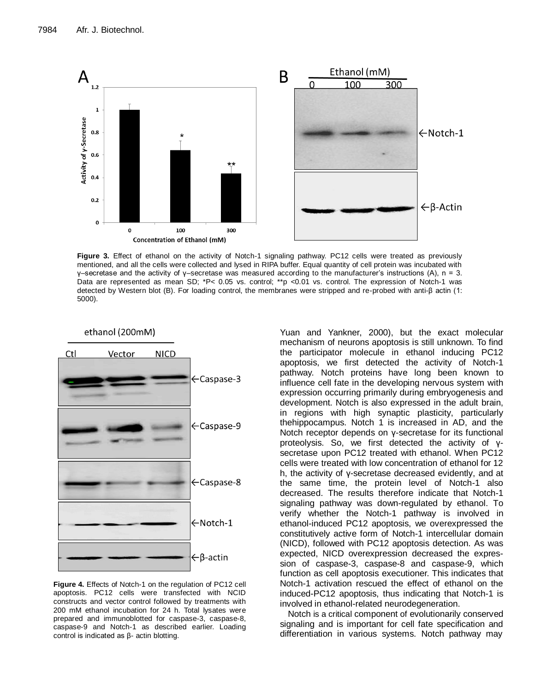

**Figure 3.** Effect of ethanol on the activity of Notch-1 signaling pathway. PC12 cells were treated as previously mentioned, and all the cells were collected and lysed in RIPA buffer. Equal quantity of cell protein was incubated with γ–secretase and the activity of γ–secretase was measured according to the manufacturer's instructions (A), n = 3. Data are represented as mean SD; \*P< 0.05 vs. control; \*\*p <0.01 vs. control. The expression of Notch-1 was detected by Western blot (B). For loading control, the membranes were stripped and re-probed with anti-β actin (1: 5000).



**Figure 4.** Effects of Notch-1 on the regulation of PC12 cell apoptosis. PC12 cells were transfected with NCID constructs and vector control followed by treatments with 200 mM ethanol incubation for 24 h. Total lysates were prepared and immunoblotted for caspase-3, caspase-8, caspase-9 and Notch-1 as described earlier. Loading control is indicated as β- actin blotting.

Yuan and Yankner, 2000), but the exact molecular mechanism of neurons apoptosis is still unknown. To find the participator molecule in ethanol inducing PC12 apoptosis, we first detected the activity of Notch-1 pathway. Notch proteins have long been known to influence cell fate in the developing nervous system with expression occurring primarily during embryogenesis and development. Notch is also expressed in the adult brain, in regions with high synaptic plasticity, particularly thehippocampus. Notch 1 is increased in AD, and the Notch receptor depends on γ-secretase for its functional proteolysis. So, we first detected the activity of γsecretase upon PC12 treated with ethanol. When PC12 cells were treated with low concentration of ethanol for 12 h, the activity of γ-secretase decreased evidently, and at the same time, the protein level of Notch-1 also decreased. The results therefore indicate that Notch-1 signaling pathway was down-regulated by ethanol. To verify whether the Notch-1 pathway is involved in ethanol-induced PC12 apoptosis, we overexpressed the constitutively active form of Notch-1 intercellular domain (NICD), followed with PC12 apoptosis detection. As was expected, NICD overexpression decreased the expression of caspase-3, caspase-8 and caspase-9, which function as cell apoptosis executioner. This indicates that Notch-1 activation rescued the effect of ethanol on the induced-PC12 apoptosis, thus indicating that Notch-1 is involved in ethanol-related neurodegeneration.

Notch is a critical component of evolutionarily conserved signaling and is important for cell fate specification and differentiation in various systems. Notch pathway may